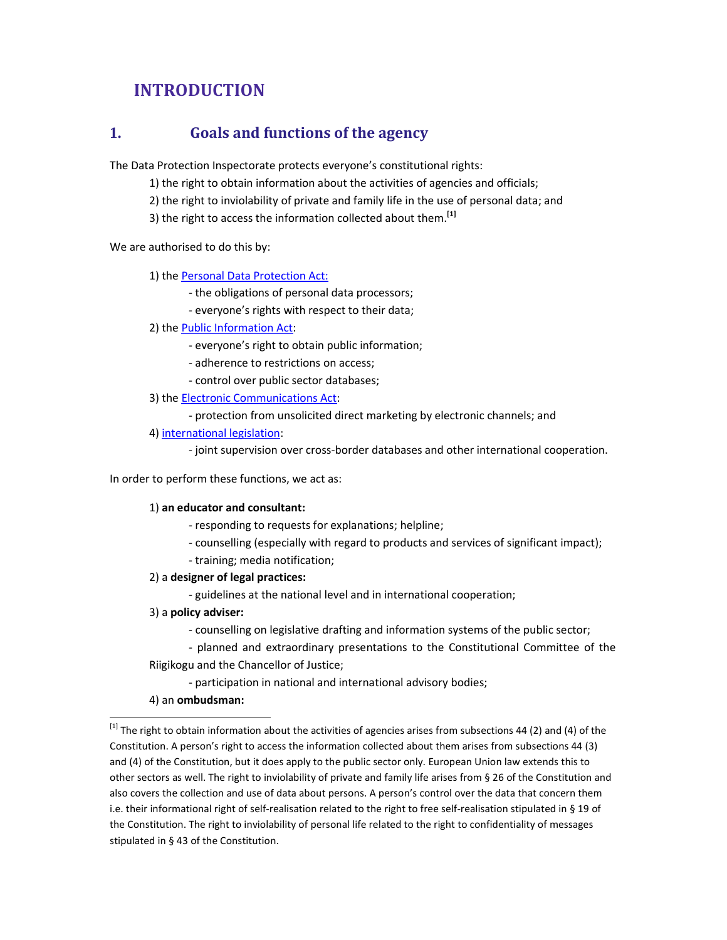# **INTRODUCTION**

### **1. Goals and functions of the agency**

The Data Protection Inspectorate protects everyone's constitutional rights:

- 1) the right to obtain information about the activities of agencies and officials;
- 2) the right to inviolability of private and family life in the use of personal data; and
- 3) the right to access the information collected about them.**[1]**

We are authorised to do this by:

1) the Personal Data Protection Act:

- the obligations of personal data processors;
- everyone's rights with respect to their data;
- 2) the Public Information Act:
	- everyone's right to obtain public information;
	- adherence to restrictions on access;
	- control over public sector databases;
- 3) the Electronic Communications Act:
	- protection from unsolicited direct marketing by electronic channels; and
- 4) international legislation:

- joint supervision over cross-border databases and other international cooperation.

In order to perform these functions, we act as:

#### 1) **an educator and consultant:**

- responding to requests for explanations; helpline;
- counselling (especially with regard to products and services of significant impact);
- training; media notification;
- 2) a **designer of legal practices:**
	- guidelines at the national level and in international cooperation;
- 3) a **policy adviser:**
	- counselling on legislative drafting and information systems of the public sector;
	- planned and extraordinary presentations to the Constitutional Committee of the

#### Riigikogu and the Chancellor of Justice;

- participation in national and international advisory bodies;
- 4) an **ombudsman:**

1

 $^{[1]}$  The right to obtain information about the activities of agencies arises from subsections 44 (2) and (4) of the Constitution. A person's right to access the information collected about them arises from subsections 44 (3) and (4) of the Constitution, but it does apply to the public sector only. European Union law extends this to other sectors as well. The right to inviolability of private and family life arises from § 26 of the Constitution and also covers the collection and use of data about persons. A person's control over the data that concern them i.e. their informational right of self-realisation related to the right to free self-realisation stipulated in § 19 of the Constitution. The right to inviolability of personal life related to the right to confidentiality of messages stipulated in § 43 of the Constitution.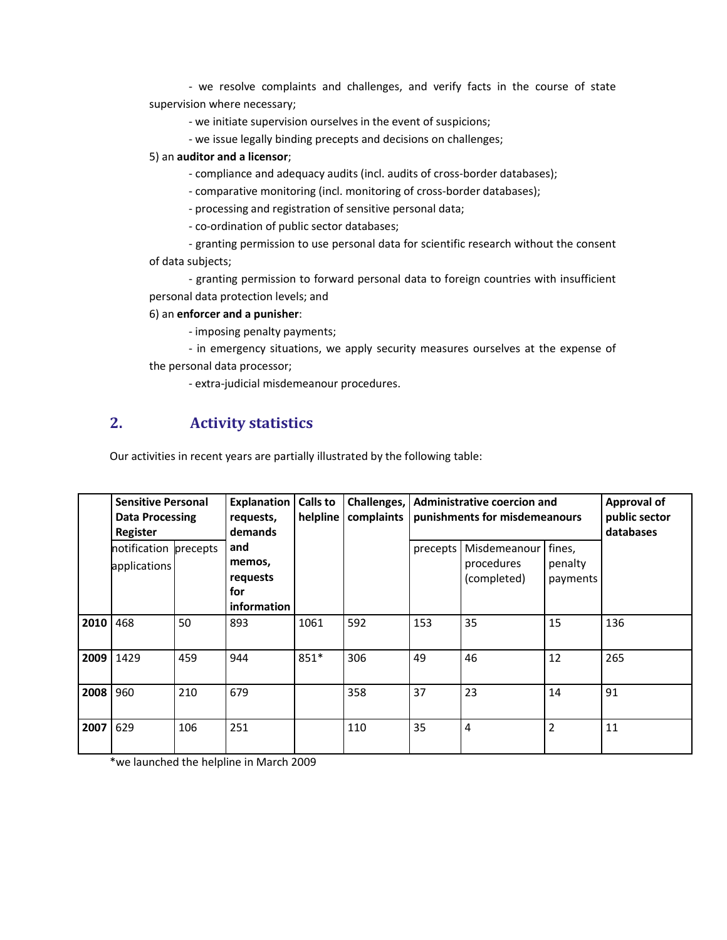- we resolve complaints and challenges, and verify facts in the course of state supervision where necessary;

- we initiate supervision ourselves in the event of suspicions;

- we issue legally binding precepts and decisions on challenges;

#### 5) an **auditor and a licensor**;

- compliance and adequacy audits (incl. audits of cross-border databases);
- comparative monitoring (incl. monitoring of cross-border databases);
- processing and registration of sensitive personal data;
- co-ordination of public sector databases;
- granting permission to use personal data for scientific research without the consent of data subjects;

- granting permission to forward personal data to foreign countries with insufficient personal data protection levels; and

#### 6) an **enforcer and a punisher**:

- imposing penalty payments;

- in emergency situations, we apply security measures ourselves at the expense of the personal data processor;

- extra-judicial misdemeanour procedures.

# **2. Activity statistics**

Our activities in recent years are partially illustrated by the following table:

|           | <b>Sensitive Personal</b><br><b>Data Processing</b><br>Register |     | <b>Explanation</b><br>requests,<br><b>demands</b> | Calls to<br>helpline | Challenges,<br>complaints | <b>Administrative coercion and</b><br>punishments for misdemeanours |                                           |                               | <b>Approval of</b><br>public sector<br>databases |
|-----------|-----------------------------------------------------------------|-----|---------------------------------------------------|----------------------|---------------------------|---------------------------------------------------------------------|-------------------------------------------|-------------------------------|--------------------------------------------------|
|           | notification precepts<br>applications                           |     | and<br>memos,<br>requests<br>for<br>information   |                      |                           | precepts                                                            | Misdemeanour<br>procedures<br>(completed) | fines,<br>penalty<br>payments |                                                  |
| 2010      | 468                                                             | 50  | 893                                               | 1061                 | 592                       | 153                                                                 | 35                                        | 15                            | 136                                              |
| 2009 1429 |                                                                 | 459 | 944                                               | 851*                 | 306                       | 49                                                                  | 46                                        | 12                            | 265                                              |
| 2008      | 960                                                             | 210 | 679                                               |                      | 358                       | 37                                                                  | 23                                        | 14                            | 91                                               |
| 2007      | 629                                                             | 106 | 251                                               |                      | 110                       | 35                                                                  | $\overline{4}$                            | $\overline{2}$                | 11                                               |

\*we launched the helpline in March 2009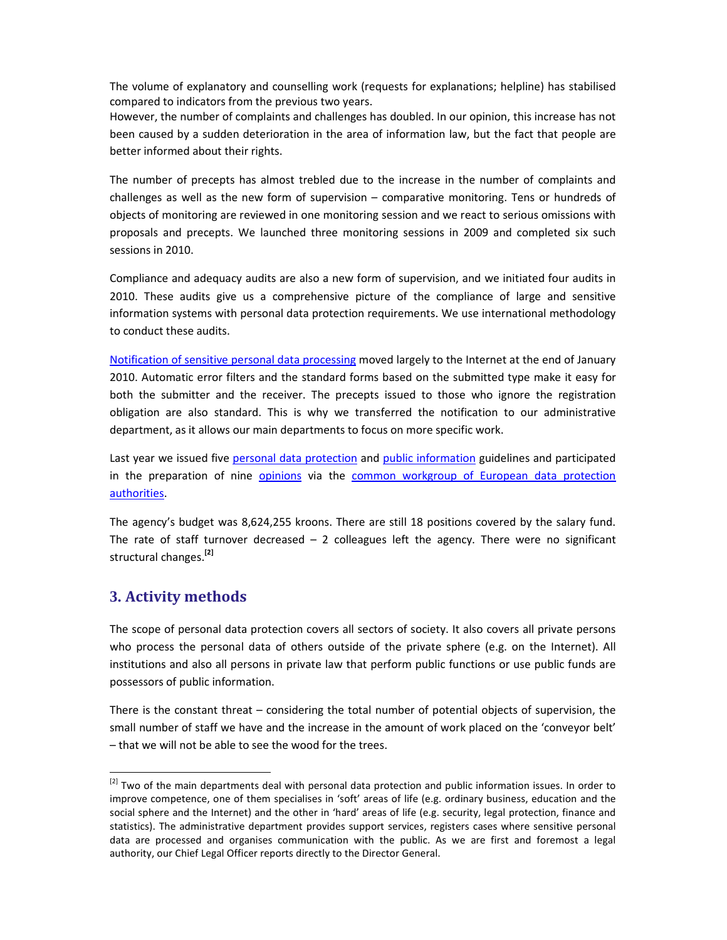The volume of explanatory and counselling work (requests for explanations; helpline) has stabilised compared to indicators from the previous two years.

However, the number of complaints and challenges has doubled. In our opinion, this increase has not been caused by a sudden deterioration in the area of information law, but the fact that people are better informed about their rights.

The number of precepts has almost trebled due to the increase in the number of complaints and challenges as well as the new form of supervision – comparative monitoring. Tens or hundreds of objects of monitoring are reviewed in one monitoring session and we react to serious omissions with proposals and precepts. We launched three monitoring sessions in 2009 and completed six such sessions in 2010.

Compliance and adequacy audits are also a new form of supervision, and we initiated four audits in 2010. These audits give us a comprehensive picture of the compliance of large and sensitive information systems with personal data protection requirements. We use international methodology to conduct these audits.

Notification of sensitive personal data processing moved largely to the Internet at the end of January 2010. Automatic error filters and the standard forms based on the submitted type make it easy for both the submitter and the receiver. The precepts issued to those who ignore the registration obligation are also standard. This is why we transferred the notification to our administrative department, as it allows our main departments to focus on more specific work.

Last year we issued five personal data protection and public information guidelines and participated in the preparation of nine opinions via the common workgroup of European data protection authorities.

The agency's budget was 8,624,255 kroons. There are still 18 positions covered by the salary fund. The rate of staff turnover decreased  $-2$  colleagues left the agency. There were no significant structural changes.**[2]**

# **3. Activity methods**

 $\overline{a}$ 

The scope of personal data protection covers all sectors of society. It also covers all private persons who process the personal data of others outside of the private sphere (e.g. on the Internet). All institutions and also all persons in private law that perform public functions or use public funds are possessors of public information.

There is the constant threat – considering the total number of potential objects of supervision, the small number of staff we have and the increase in the amount of work placed on the 'conveyor belt' – that we will not be able to see the wood for the trees.

 $^{[2]}$  Two of the main departments deal with personal data protection and public information issues. In order to improve competence, one of them specialises in 'soft' areas of life (e.g. ordinary business, education and the social sphere and the Internet) and the other in 'hard' areas of life (e.g. security, legal protection, finance and statistics). The administrative department provides support services, registers cases where sensitive personal data are processed and organises communication with the public. As we are first and foremost a legal authority, our Chief Legal Officer reports directly to the Director General.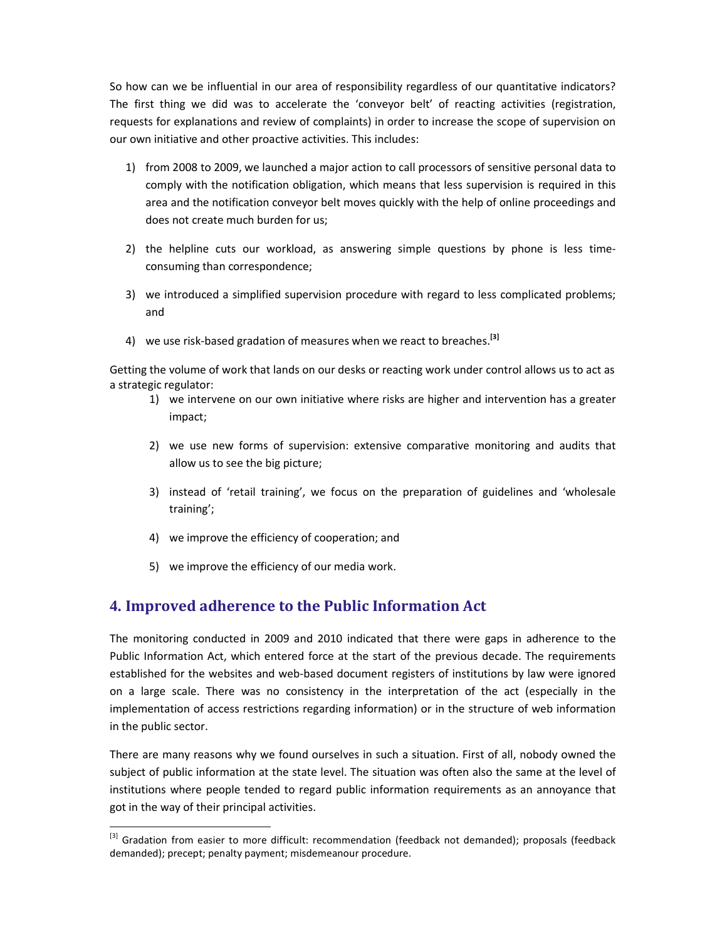So how can we be influential in our area of responsibility regardless of our quantitative indicators? The first thing we did was to accelerate the 'conveyor belt' of reacting activities (registration, requests for explanations and review of complaints) in order to increase the scope of supervision on our own initiative and other proactive activities. This includes:

- 1) from 2008 to 2009, we launched a major action to call processors of sensitive personal data to comply with the notification obligation, which means that less supervision is required in this area and the notification conveyor belt moves quickly with the help of online proceedings and does not create much burden for us;
- 2) the helpline cuts our workload, as answering simple questions by phone is less timeconsuming than correspondence;
- 3) we introduced a simplified supervision procedure with regard to less complicated problems; and
- 4) we use risk-based gradation of measures when we react to breaches.**[3]**

Getting the volume of work that lands on our desks or reacting work under control allows us to act as a strategic regulator:

- 1) we intervene on our own initiative where risks are higher and intervention has a greater impact;
- 2) we use new forms of supervision: extensive comparative monitoring and audits that allow us to see the big picture;
- 3) instead of 'retail training', we focus on the preparation of guidelines and 'wholesale training';
- 4) we improve the efficiency of cooperation; and
- 5) we improve the efficiency of our media work.

l,

### **4. Improved adherence to the Public Information Act**

The monitoring conducted in 2009 and 2010 indicated that there were gaps in adherence to the Public Information Act, which entered force at the start of the previous decade. The requirements established for the websites and web-based document registers of institutions by law were ignored on a large scale. There was no consistency in the interpretation of the act (especially in the implementation of access restrictions regarding information) or in the structure of web information in the public sector.

There are many reasons why we found ourselves in such a situation. First of all, nobody owned the subject of public information at the state level. The situation was often also the same at the level of institutions where people tended to regard public information requirements as an annoyance that got in the way of their principal activities.

<sup>[3]</sup> Gradation from easier to more difficult: recommendation (feedback not demanded); proposals (feedback demanded); precept; penalty payment; misdemeanour procedure.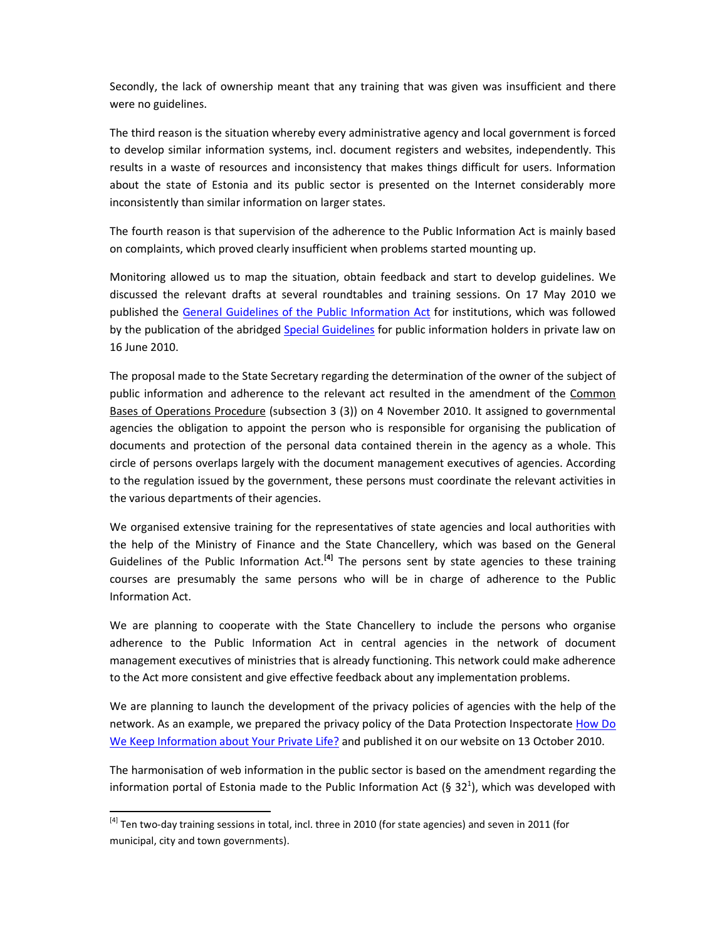Secondly, the lack of ownership meant that any training that was given was insufficient and there were no guidelines.

The third reason is the situation whereby every administrative agency and local government is forced to develop similar information systems, incl. document registers and websites, independently. This results in a waste of resources and inconsistency that makes things difficult for users. Information about the state of Estonia and its public sector is presented on the Internet considerably more inconsistently than similar information on larger states.

The fourth reason is that supervision of the adherence to the Public Information Act is mainly based on complaints, which proved clearly insufficient when problems started mounting up.

Monitoring allowed us to map the situation, obtain feedback and start to develop guidelines. We discussed the relevant drafts at several roundtables and training sessions. On 17 May 2010 we published the General Guidelines of the Public Information Act for institutions, which was followed by the publication of the abridged Special Guidelines for public information holders in private law on 16 June 2010.

The proposal made to the State Secretary regarding the determination of the owner of the subject of public information and adherence to the relevant act resulted in the amendment of the Common Bases of Operations Procedure (subsection 3 (3)) on 4 November 2010. It assigned to governmental agencies the obligation to appoint the person who is responsible for organising the publication of documents and protection of the personal data contained therein in the agency as a whole. This circle of persons overlaps largely with the document management executives of agencies. According to the regulation issued by the government, these persons must coordinate the relevant activities in the various departments of their agencies.

We organised extensive training for the representatives of state agencies and local authorities with the help of the Ministry of Finance and the State Chancellery, which was based on the General Guidelines of the Public Information Act.**[4]** The persons sent by state agencies to these training courses are presumably the same persons who will be in charge of adherence to the Public Information Act.

We are planning to cooperate with the State Chancellery to include the persons who organise adherence to the Public Information Act in central agencies in the network of document management executives of ministries that is already functioning. This network could make adherence to the Act more consistent and give effective feedback about any implementation problems.

We are planning to launch the development of the privacy policies of agencies with the help of the network. As an example, we prepared the privacy policy of the Data Protection Inspectorate How Do We Keep Information about Your Private Life? and published it on our website on 13 October 2010.

The harmonisation of web information in the public sector is based on the amendment regarding the information portal of Estonia made to the Public Information Act (§ 32<sup>1</sup>), which was developed with

 $\overline{a}$ 

<sup>&</sup>lt;sup>[4]</sup> Ten two-day training sessions in total, incl. three in 2010 (for state agencies) and seven in 2011 (for municipal, city and town governments).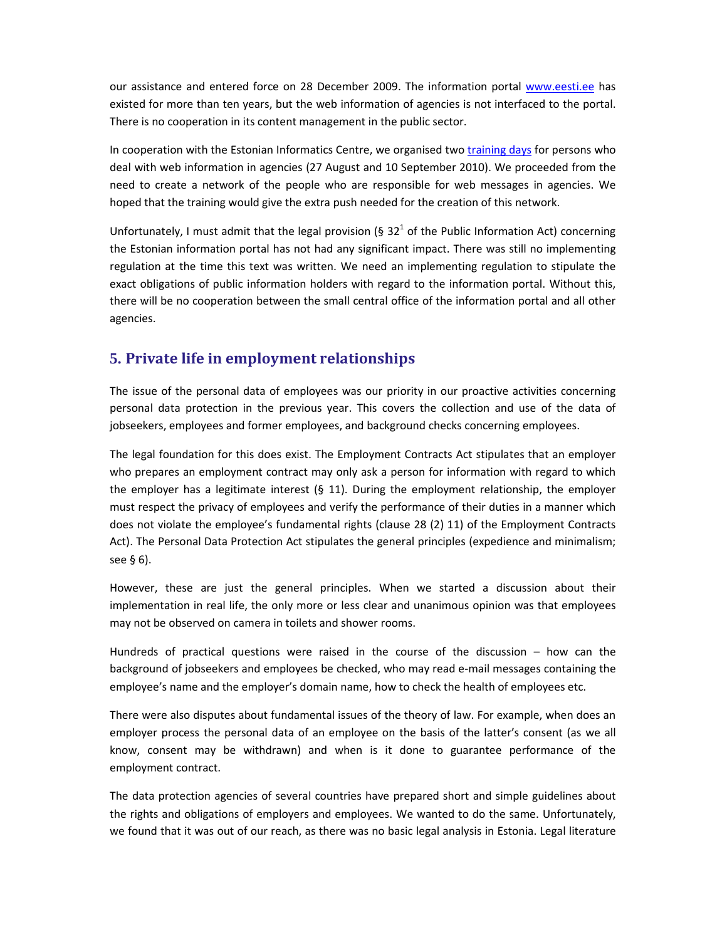our assistance and entered force on 28 December 2009. The information portal www.eesti.ee has existed for more than ten years, but the web information of agencies is not interfaced to the portal. There is no cooperation in its content management in the public sector.

In cooperation with the Estonian Informatics Centre, we organised two training days for persons who deal with web information in agencies (27 August and 10 September 2010). We proceeded from the need to create a network of the people who are responsible for web messages in agencies. We hoped that the training would give the extra push needed for the creation of this network.

Unfortunately, I must admit that the legal provision (§ 32<sup>1</sup> of the Public Information Act) concerning the Estonian information portal has not had any significant impact. There was still no implementing regulation at the time this text was written. We need an implementing regulation to stipulate the exact obligations of public information holders with regard to the information portal. Without this, there will be no cooperation between the small central office of the information portal and all other agencies.

# **5. Private life in employment relationships**

The issue of the personal data of employees was our priority in our proactive activities concerning personal data protection in the previous year. This covers the collection and use of the data of jobseekers, employees and former employees, and background checks concerning employees.

The legal foundation for this does exist. The Employment Contracts Act stipulates that an employer who prepares an employment contract may only ask a person for information with regard to which the employer has a legitimate interest  $(§ 11)$ . During the employment relationship, the employer must respect the privacy of employees and verify the performance of their duties in a manner which does not violate the employee's fundamental rights (clause 28 (2) 11) of the Employment Contracts Act). The Personal Data Protection Act stipulates the general principles (expedience and minimalism; see § 6).

However, these are just the general principles. When we started a discussion about their implementation in real life, the only more or less clear and unanimous opinion was that employees may not be observed on camera in toilets and shower rooms.

Hundreds of practical questions were raised in the course of the discussion – how can the background of jobseekers and employees be checked, who may read e-mail messages containing the employee's name and the employer's domain name, how to check the health of employees etc.

There were also disputes about fundamental issues of the theory of law. For example, when does an employer process the personal data of an employee on the basis of the latter's consent (as we all know, consent may be withdrawn) and when is it done to guarantee performance of the employment contract.

The data protection agencies of several countries have prepared short and simple guidelines about the rights and obligations of employers and employees. We wanted to do the same. Unfortunately, we found that it was out of our reach, as there was no basic legal analysis in Estonia. Legal literature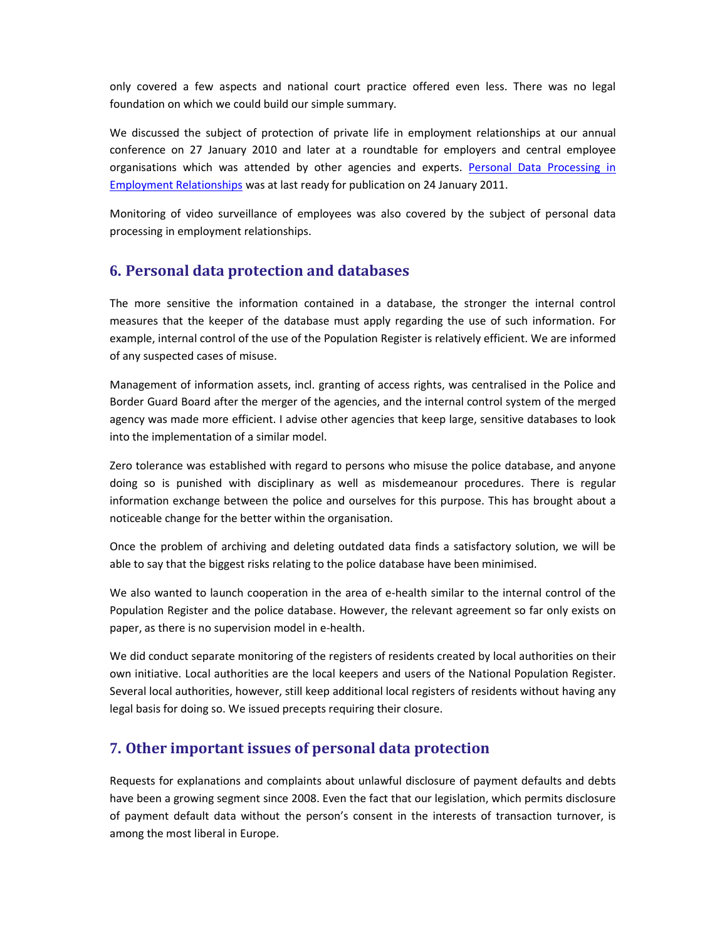only covered a few aspects and national court practice offered even less. There was no legal foundation on which we could build our simple summary.

We discussed the subject of protection of private life in employment relationships at our annual conference on 27 January 2010 and later at a roundtable for employers and central employee organisations which was attended by other agencies and experts. Personal Data Processing in Employment Relationships was at last ready for publication on 24 January 2011.

Monitoring of video surveillance of employees was also covered by the subject of personal data processing in employment relationships.

### **6. Personal data protection and databases**

The more sensitive the information contained in a database, the stronger the internal control measures that the keeper of the database must apply regarding the use of such information. For example, internal control of the use of the Population Register is relatively efficient. We are informed of any suspected cases of misuse.

Management of information assets, incl. granting of access rights, was centralised in the Police and Border Guard Board after the merger of the agencies, and the internal control system of the merged agency was made more efficient. I advise other agencies that keep large, sensitive databases to look into the implementation of a similar model.

Zero tolerance was established with regard to persons who misuse the police database, and anyone doing so is punished with disciplinary as well as misdemeanour procedures. There is regular information exchange between the police and ourselves for this purpose. This has brought about a noticeable change for the better within the organisation.

Once the problem of archiving and deleting outdated data finds a satisfactory solution, we will be able to say that the biggest risks relating to the police database have been minimised.

We also wanted to launch cooperation in the area of e-health similar to the internal control of the Population Register and the police database. However, the relevant agreement so far only exists on paper, as there is no supervision model in e-health.

We did conduct separate monitoring of the registers of residents created by local authorities on their own initiative. Local authorities are the local keepers and users of the National Population Register. Several local authorities, however, still keep additional local registers of residents without having any legal basis for doing so. We issued precepts requiring their closure.

### **7. Other important issues of personal data protection**

Requests for explanations and complaints about unlawful disclosure of payment defaults and debts have been a growing segment since 2008. Even the fact that our legislation, which permits disclosure of payment default data without the person's consent in the interests of transaction turnover, is among the most liberal in Europe.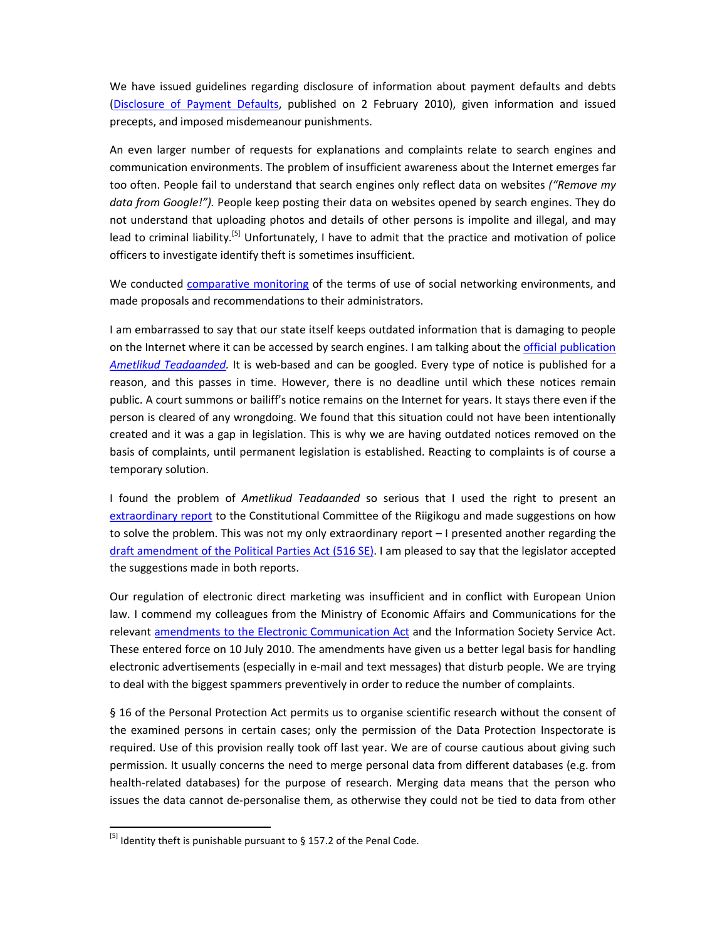We have issued guidelines regarding disclosure of information about payment defaults and debts (Disclosure of Payment Defaults, published on 2 February 2010), given information and issued precepts, and imposed misdemeanour punishments.

An even larger number of requests for explanations and complaints relate to search engines and communication environments. The problem of insufficient awareness about the Internet emerges far too often. People fail to understand that search engines only reflect data on websites *("Remove my data from Google!").* People keep posting their data on websites opened by search engines. They do not understand that uploading photos and details of other persons is impolite and illegal, and may lead to criminal liability.<sup>[5]</sup> Unfortunately, I have to admit that the practice and motivation of police officers to investigate identify theft is sometimes insufficient.

We conducted comparative monitoring of the terms of use of social networking environments, and made proposals and recommendations to their administrators.

I am embarrassed to say that our state itself keeps outdated information that is damaging to people on the Internet where it can be accessed by search engines. I am talking about the official publication *Ametlikud Teadaanded.* It is web-based and can be googled. Every type of notice is published for a reason, and this passes in time. However, there is no deadline until which these notices remain public. A court summons or bailiff's notice remains on the Internet for years. It stays there even if the person is cleared of any wrongdoing. We found that this situation could not have been intentionally created and it was a gap in legislation. This is why we are having outdated notices removed on the basis of complaints, until permanent legislation is established. Reacting to complaints is of course a temporary solution.

I found the problem of *Ametlikud Teadaanded* so serious that I used the right to present an extraordinary report to the Constitutional Committee of the Riigikogu and made suggestions on how to solve the problem. This was not my only extraordinary report – I presented another regarding the draft amendment of the Political Parties Act (516 SE). I am pleased to say that the legislator accepted the suggestions made in both reports.

Our regulation of electronic direct marketing was insufficient and in conflict with European Union law. I commend my colleagues from the Ministry of Economic Affairs and Communications for the relevant amendments to the Electronic Communication Act and the Information Society Service Act. These entered force on 10 July 2010. The amendments have given us a better legal basis for handling electronic advertisements (especially in e-mail and text messages) that disturb people. We are trying to deal with the biggest spammers preventively in order to reduce the number of complaints.

§ 16 of the Personal Protection Act permits us to organise scientific research without the consent of the examined persons in certain cases; only the permission of the Data Protection Inspectorate is required. Use of this provision really took off last year. We are of course cautious about giving such permission. It usually concerns the need to merge personal data from different databases (e.g. from health-related databases) for the purpose of research. Merging data means that the person who issues the data cannot de-personalise them, as otherwise they could not be tied to data from other

l,

 $^{[5]}$  Identity theft is punishable pursuant to § 157.2 of the Penal Code.